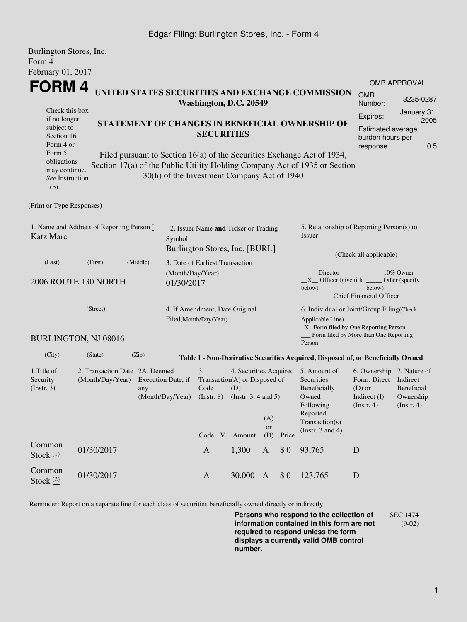### Edgar Filing: Burlington Stores, Inc. - Form 4

| Burlington Stores, Inc.<br>Form 4                                        |                                                                            |                                                                                                                                                                                                                         |                                        |                                                                        |                                                                                                         |                  |       |                                                                                                                                                                                                                                                              |                                                                                        |                                                    |  |  |  |
|--------------------------------------------------------------------------|----------------------------------------------------------------------------|-------------------------------------------------------------------------------------------------------------------------------------------------------------------------------------------------------------------------|----------------------------------------|------------------------------------------------------------------------|---------------------------------------------------------------------------------------------------------|------------------|-------|--------------------------------------------------------------------------------------------------------------------------------------------------------------------------------------------------------------------------------------------------------------|----------------------------------------------------------------------------------------|----------------------------------------------------|--|--|--|
| February 01, 2017                                                        |                                                                            |                                                                                                                                                                                                                         |                                        |                                                                        |                                                                                                         |                  |       |                                                                                                                                                                                                                                                              |                                                                                        |                                                    |  |  |  |
| <b>FORM4</b>                                                             |                                                                            |                                                                                                                                                                                                                         |                                        |                                                                        |                                                                                                         |                  |       |                                                                                                                                                                                                                                                              | <b>OMB APPROVAL</b>                                                                    |                                                    |  |  |  |
|                                                                          | UNITED STATES SECURITIES AND EXCHANGE COMMISSION<br>Washington, D.C. 20549 |                                                                                                                                                                                                                         |                                        |                                                                        |                                                                                                         |                  |       |                                                                                                                                                                                                                                                              | <b>OMB</b><br>Number:                                                                  | 3235-0287                                          |  |  |  |
| Check this box<br>if no longer<br>subject to<br>Section 16.<br>Form 4 or |                                                                            | STATEMENT OF CHANGES IN BENEFICIAL OWNERSHIP OF<br><b>SECURITIES</b>                                                                                                                                                    |                                        |                                                                        |                                                                                                         |                  |       |                                                                                                                                                                                                                                                              |                                                                                        |                                                    |  |  |  |
| Form 5<br>obligations<br>may continue.<br>See Instruction<br>$1(b)$ .    |                                                                            | 0.5<br>response<br>Filed pursuant to Section 16(a) of the Securities Exchange Act of 1934,<br>Section 17(a) of the Public Utility Holding Company Act of 1935 or Section<br>30(h) of the Investment Company Act of 1940 |                                        |                                                                        |                                                                                                         |                  |       |                                                                                                                                                                                                                                                              |                                                                                        |                                                    |  |  |  |
| (Print or Type Responses)                                                |                                                                            |                                                                                                                                                                                                                         |                                        |                                                                        |                                                                                                         |                  |       |                                                                                                                                                                                                                                                              |                                                                                        |                                                    |  |  |  |
| 1. Name and Address of Reporting Person*<br><b>Katz Marc</b>             |                                                                            |                                                                                                                                                                                                                         | Symbol                                 | 2. Issuer Name and Ticker or Trading<br>Burlington Stores, Inc. [BURL] |                                                                                                         |                  |       | 5. Relationship of Reporting Person(s) to<br>Issuer<br>(Check all applicable)                                                                                                                                                                                |                                                                                        |                                                    |  |  |  |
| (Last)                                                                   | (First)                                                                    | (Middle)                                                                                                                                                                                                                |                                        | 3. Date of Earliest Transaction                                        |                                                                                                         |                  |       |                                                                                                                                                                                                                                                              |                                                                                        |                                                    |  |  |  |
| (Month/Day/Year)<br>2006 ROUTE 130 NORTH<br>01/30/2017<br>(Street)       |                                                                            |                                                                                                                                                                                                                         |                                        |                                                                        |                                                                                                         |                  |       | Director<br>10% Owner<br>$X$ Officer (give title $\overline{\phantom{a}}$<br>Other (specify<br>below)<br>below)<br><b>Chief Financial Officer</b><br>6. Individual or Joint/Group Filing(Check<br>Applicable Line)<br>_X_ Form filed by One Reporting Person |                                                                                        |                                                    |  |  |  |
|                                                                          |                                                                            |                                                                                                                                                                                                                         |                                        | 4. If Amendment, Date Original<br>Filed(Month/Day/Year)                |                                                                                                         |                  |       |                                                                                                                                                                                                                                                              |                                                                                        |                                                    |  |  |  |
|                                                                          | BURLINGTON, NJ 08016                                                       |                                                                                                                                                                                                                         |                                        |                                                                        |                                                                                                         |                  |       | Person                                                                                                                                                                                                                                                       | Form filed by More than One Reporting                                                  |                                                    |  |  |  |
| (City)                                                                   | (State)                                                                    | (Zip)                                                                                                                                                                                                                   |                                        |                                                                        |                                                                                                         |                  |       | Table I - Non-Derivative Securities Acquired, Disposed of, or Beneficially Owned                                                                                                                                                                             |                                                                                        |                                                    |  |  |  |
| 1. Title of<br>Security<br>(Insert. 3)                                   | 2. Transaction Date 2A. Deemed<br>(Month/Day/Year)<br>any                  |                                                                                                                                                                                                                         | Execution Date, if<br>(Month/Day/Year) | 3.<br>Code<br>$($ Instr. $8)$                                          | 4. Securities Acquired 5. Amount of<br>Transaction(A) or Disposed of<br>(D)<br>(Instr. $3, 4$ and $5$ ) |                  |       | Securities<br>Beneficially<br>Owned<br>Following                                                                                                                                                                                                             | 6. Ownership 7. Nature of<br>Form: Direct<br>$(D)$ or<br>Indirect $(I)$<br>(Insert. 4) | Indirect<br>Beneficial<br>Ownership<br>(Insert. 4) |  |  |  |
|                                                                          |                                                                            |                                                                                                                                                                                                                         |                                        | Code V                                                                 | Amount                                                                                                  | (A)<br>or<br>(D) | Price | Reported<br>Transaction(s)<br>(Instr. $3$ and $4$ )                                                                                                                                                                                                          |                                                                                        |                                                    |  |  |  |
| Common<br>Stock $(1)$                                                    | 01/30/2017                                                                 |                                                                                                                                                                                                                         |                                        | $\mathbf{A}$                                                           | 1,300                                                                                                   | $\mathbf{A}$     | \$0   | 93,765                                                                                                                                                                                                                                                       | D                                                                                      |                                                    |  |  |  |
| Common<br>Stock $(2)$                                                    | 01/30/2017                                                                 |                                                                                                                                                                                                                         |                                        | $\mathbf{A}$                                                           | 30,000                                                                                                  | $\mathbf{A}$     | \$0   | 123,765                                                                                                                                                                                                                                                      | D                                                                                      |                                                    |  |  |  |

Reminder: Report on a separate line for each class of securities beneficially owned directly or indirectly.

**Persons who respond to the collection of information contained in this form are not required to respond unless the form displays a currently valid OMB control number.** SEC 1474 (9-02)